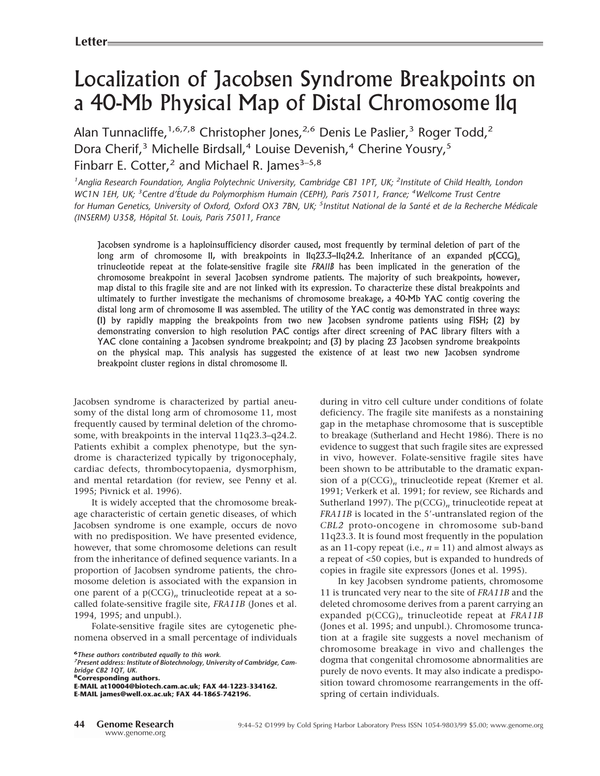# Localization of Jacobsen Syndrome Breakpoints on a 40-Mb Physical Map of Distal Chromosome 11q

Alan Tunnacliffe,<sup>1,6,7,8</sup> Christopher Jones,<sup>2,6</sup> Denis Le Paslier,<sup>3</sup> Roger Todd,<sup>2</sup> Dora Cherif,<sup>3</sup> Michelle Birdsall,<sup>4</sup> Louise Devenish,<sup>4</sup> Cherine Yousry,<sup>5</sup> Finbarr E. Cotter,<sup>2</sup> and Michael R. James<sup>3-5,8</sup>

*1 Anglia Research Foundation, Anglia Polytechnic University, Cambridge CB1 1PT, UK; <sup>2</sup> Institute of Child Health, London WC1N 1EH, UK; <sup>3</sup> Centre d'E´tude du Polymorphism Humain (CEPH), Paris 75011, France; <sup>4</sup> Wellcome Trust Centre for Human Genetics, University of Oxford, Oxford OX3 7BN, UK; <sup>5</sup> Institut National de la Sante´ et de la Recherche Me´dicale (INSERM) U358, Hoˆpital St. Louis, Paris 75011, France*

Jacobsen syndrome is a haploinsufficiency disorder caused, most frequently by terminal deletion of part of the long arm of chromosome 11, with breakpoints in 11q23.3–11q24.2. Inheritance of an expanded p(CCG)<sub>n</sub> trinucleotide repeat at the folate-sensitive fragile site *FRA11B* has been implicated in the generation of the chromosome breakpoint in several Jacobsen syndrome patients. The majority of such breakpoints, however, map distal to this fragile site and are not linked with its expression. To characterize these distal breakpoints and ultimately to further investigate the mechanisms of chromosome breakage, a 40-Mb YAC contig covering the distal long arm of chromosome 11 was assembled. The utility of the YAC contig was demonstrated in three ways: (1) by rapidly mapping the breakpoints from two new Jacobsen syndrome patients using FISH; (2) by demonstrating conversion to high resolution PAC contigs after direct screening of PAC library filters with a YAC clone containing a Jacobsen syndrome breakpoint; and (3) by placing 23 Jacobsen syndrome breakpoints on the physical map. This analysis has suggested the existence of at least two new Jacobsen syndrome breakpoint cluster regions in distal chromosome 11.

Jacobsen syndrome is characterized by partial aneusomy of the distal long arm of chromosome 11, most frequently caused by terminal deletion of the chromosome, with breakpoints in the interval 11q23.3–q24.2. Patients exhibit a complex phenotype, but the syndrome is characterized typically by trigonocephaly, cardiac defects, thrombocytopaenia, dysmorphism, and mental retardation (for review, see Penny et al. 1995; Pivnick et al. 1996).

It is widely accepted that the chromosome breakage characteristic of certain genetic diseases, of which Jacobsen syndrome is one example, occurs de novo with no predisposition. We have presented evidence, however, that some chromosome deletions can result from the inheritance of defined sequence variants. In a proportion of Jacobsen syndrome patients, the chromosome deletion is associated with the expansion in one parent of a  $p(CCG)<sub>n</sub>$  trinucleotide repeat at a socalled folate-sensitive fragile site, *FRA11B* (Jones et al. 1994, 1995; and unpubl.).

Folate-sensitive fragile sites are cytogenetic phenomena observed in a small percentage of individuals

*7 Present address: Institute of Biotechnology, University of Cambridge, Cambridge CB2 1QT, UK.*

**8Corresponding authors.**

**E-MAIL at10004@biotech.cam.ac.uk; FAX 44-1223-334162. E-MAIL james@well.ox.ac.uk; FAX 44-1865-742196.**

during in vitro cell culture under conditions of folate deficiency. The fragile site manifests as a nonstaining gap in the metaphase chromosome that is susceptible to breakage (Sutherland and Hecht 1986). There is no evidence to suggest that such fragile sites are expressed in vivo, however. Folate-sensitive fragile sites have been shown to be attributable to the dramatic expansion of a  $p(CCG)<sub>n</sub>$  trinucleotide repeat (Kremer et al. 1991; Verkerk et al. 1991; for review, see Richards and Sutherland 1997). The p(CCG)<sub>n</sub> trinucleotide repeat at *FRA11B* is located in the 5'-untranslated region of the *CBL2* proto-oncogene in chromosome sub-band 11q23.3. It is found most frequently in the population as an 11-copy repeat (i.e.,  $n = 11$ ) and almost always as a repeat of <50 copies, but is expanded to hundreds of copies in fragile site expressors (Jones et al. 1995).

In key Jacobsen syndrome patients, chromosome 11 is truncated very near to the site of *FRA11B* and the deleted chromosome derives from a parent carrying an expanded p(CCG)*<sup>n</sup>* trinucleotide repeat at *FRA11B* (Jones et al. 1995; and unpubl.). Chromosome truncation at a fragile site suggests a novel mechanism of chromosome breakage in vivo and challenges the dogma that congenital chromosome abnormalities are purely de novo events. It may also indicate a predisposition toward chromosome rearrangements in the offspring of certain individuals.

**<sup>6</sup>***These authors contributed equally to this work.*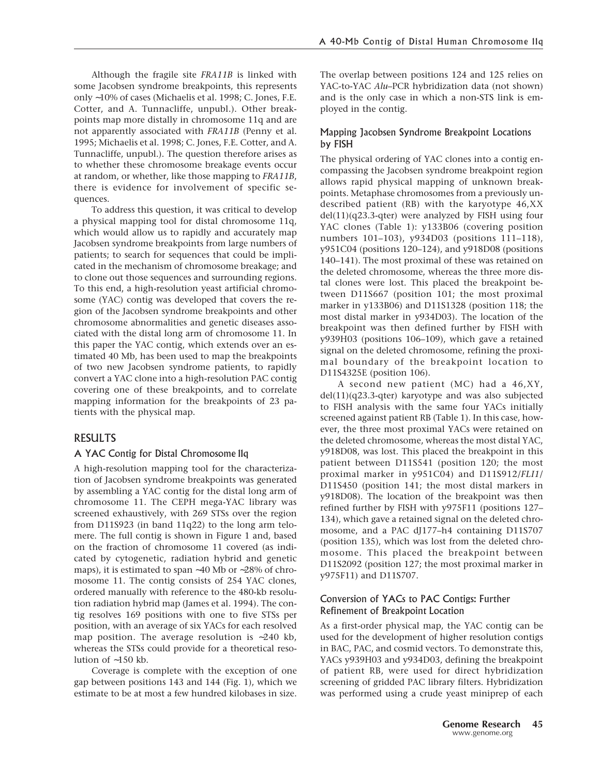Although the fragile site *FRA11B* is linked with some Jacobsen syndrome breakpoints, this represents only ∼10% of cases (Michaelis et al. 1998; C. Jones, F.E. Cotter, and A. Tunnacliffe, unpubl.). Other breakpoints map more distally in chromosome 11q and are not apparently associated with *FRA11B* (Penny et al. 1995; Michaelis et al. 1998; C. Jones, F.E. Cotter, and A. Tunnacliffe, unpubl.). The question therefore arises as to whether these chromosome breakage events occur at random, or whether, like those mapping to *FRA11B*, there is evidence for involvement of specific sequences.

To address this question, it was critical to develop a physical mapping tool for distal chromosome 11q, which would allow us to rapidly and accurately map Jacobsen syndrome breakpoints from large numbers of patients; to search for sequences that could be implicated in the mechanism of chromosome breakage; and to clone out those sequences and surrounding regions. To this end, a high-resolution yeast artificial chromosome (YAC) contig was developed that covers the region of the Jacobsen syndrome breakpoints and other chromosome abnormalities and genetic diseases associated with the distal long arm of chromosome 11. In this paper the YAC contig, which extends over an estimated 40 Mb, has been used to map the breakpoints of two new Jacobsen syndrome patients, to rapidly convert a YAC clone into a high-resolution PAC contig covering one of these breakpoints, and to correlate mapping information for the breakpoints of 23 patients with the physical map.

# RESULTS

#### A YAC Contig for Distal Chromosome 11q

A high-resolution mapping tool for the characterization of Jacobsen syndrome breakpoints was generated by assembling a YAC contig for the distal long arm of chromosome 11. The CEPH mega-YAC library was screened exhaustively, with 269 STSs over the region from D11S923 (in band 11q22) to the long arm telomere. The full contig is shown in Figure 1 and, based on the fraction of chromosome 11 covered (as indicated by cytogenetic, radiation hybrid and genetic maps), it is estimated to span ∼40 Mb or ∼28% of chromosome 11. The contig consists of 254 YAC clones, ordered manually with reference to the 480-kb resolution radiation hybrid map (James et al. 1994). The contig resolves 169 positions with one to five STSs per position, with an average of six YACs for each resolved map position. The average resolution is ∼240 kb, whereas the STSs could provide for a theoretical resolution of ∼150 kb.

Coverage is complete with the exception of one gap between positions 143 and 144 (Fig. 1), which we estimate to be at most a few hundred kilobases in size. The overlap between positions 124 and 125 relies on YAC-to-YAC *Alu*–PCR hybridization data (not shown) and is the only case in which a non-STS link is employed in the contig.

## Mapping Jacobsen Syndrome Breakpoint Locations by FISH

The physical ordering of YAC clones into a contig encompassing the Jacobsen syndrome breakpoint region allows rapid physical mapping of unknown breakpoints. Metaphase chromosomes from a previously undescribed patient (RB) with the karyotype 46,XX del(11)(q23.3-qter) were analyzed by FISH using four YAC clones (Table 1): y133B06 (covering position numbers 101–103), y934D03 (positions 111–118), y951C04 (positions 120–124), and y918D08 (positions 140–141). The most proximal of these was retained on the deleted chromosome, whereas the three more distal clones were lost. This placed the breakpoint between D11S667 (position 101; the most proximal marker in y133B06) and D11S1328 (position 118; the most distal marker in y934D03). The location of the breakpoint was then defined further by FISH with y939H03 (positions 106–109), which gave a retained signal on the deleted chromosome, refining the proximal boundary of the breakpoint location to D11S4325E (position 106).

A second new patient (MC) had a 46,XY,  $del(11)(q23.3-qter)$  karyotype and was also subjected to FISH analysis with the same four YACs initially screened against patient RB (Table 1). In this case, however, the three most proximal YACs were retained on the deleted chromosome, whereas the most distal YAC, y918D08, was lost. This placed the breakpoint in this patient between D11S541 (position 120; the most proximal marker in y951C04) and D11S912/*FLI1*/ D11S450 (position 141; the most distal markers in y918D08). The location of the breakpoint was then refined further by FISH with y975F11 (positions 127– 134), which gave a retained signal on the deleted chromosome, and a PAC dJ177-h4 containing D11S707 (position 135), which was lost from the deleted chromosome. This placed the breakpoint between D11S2092 (position 127; the most proximal marker in y975F11) and D11S707.

#### Conversion of YACs to PAC Contigs: Further Refinement of Breakpoint Location

As a first-order physical map, the YAC contig can be used for the development of higher resolution contigs in BAC, PAC, and cosmid vectors. To demonstrate this, YACs y939H03 and y934D03, defining the breakpoint of patient RB, were used for direct hybridization screening of gridded PAC library filters. Hybridization was performed using a crude yeast miniprep of each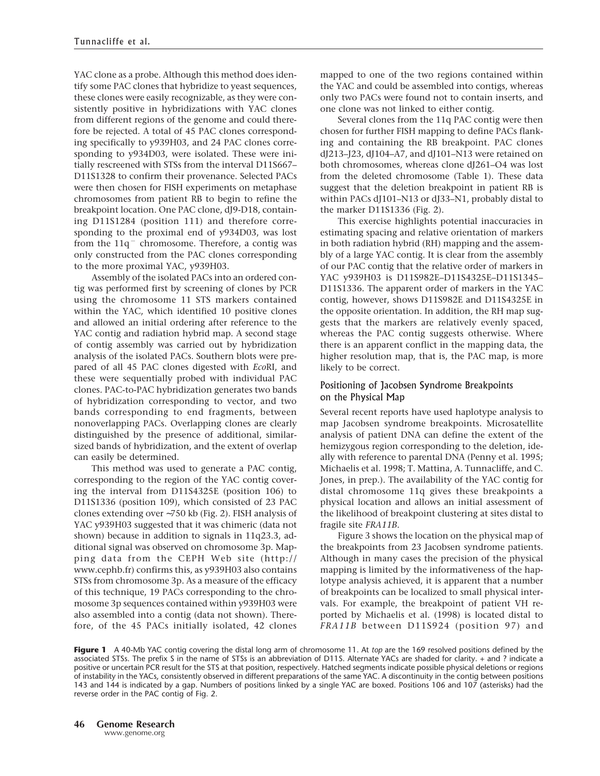YAC clone as a probe. Although this method does identify some PAC clones that hybridize to yeast sequences, these clones were easily recognizable, as they were consistently positive in hybridizations with YAC clones from different regions of the genome and could therefore be rejected. A total of 45 PAC clones corresponding specifically to y939H03, and 24 PAC clones corresponding to y934D03, were isolated. These were initially rescreened with STSs from the interval D11S667– D11S1328 to confirm their provenance. Selected PACs were then chosen for FISH experiments on metaphase chromosomes from patient RB to begin to refine the breakpoint location. One PAC clone, dJ9-D18, containing D11S1284 (position 111) and therefore corresponding to the proximal end of y934D03, was lost from the  $11q^-$  chromosome. Therefore, a contig was only constructed from the PAC clones corresponding to the more proximal YAC, y939H03.

Assembly of the isolated PACs into an ordered contig was performed first by screening of clones by PCR using the chromosome 11 STS markers contained within the YAC, which identified 10 positive clones and allowed an initial ordering after reference to the YAC contig and radiation hybrid map. A second stage of contig assembly was carried out by hybridization analysis of the isolated PACs. Southern blots were prepared of all 45 PAC clones digested with *Eco*RI, and these were sequentially probed with individual PAC clones. PAC-to-PAC hybridization generates two bands of hybridization corresponding to vector, and two bands corresponding to end fragments, between nonoverlapping PACs. Overlapping clones are clearly distinguished by the presence of additional, similarsized bands of hybridization, and the extent of overlap can easily be determined.

This method was used to generate a PAC contig, corresponding to the region of the YAC contig covering the interval from D11S4325E (position 106) to D11S1336 (position 109), which consisted of 23 PAC clones extending over ∼750 kb (Fig. 2). FISH analysis of YAC y939H03 suggested that it was chimeric (data not shown) because in addition to signals in 11q23.3, additional signal was observed on chromosome 3p. Mapping data from the CEPH Web site (http:// www.cephb.fr) confirms this, as y939H03 also contains STSs from chromosome 3p. As a measure of the efficacy of this technique, 19 PACs corresponding to the chromosome 3p sequences contained within y939H03 were also assembled into a contig (data not shown). Therefore, of the 45 PACs initially isolated, 42 clones mapped to one of the two regions contained within the YAC and could be assembled into contigs, whereas only two PACs were found not to contain inserts, and one clone was not linked to either contig.

Several clones from the 11q PAC contig were then chosen for further FISH mapping to define PACs flanking and containing the RB breakpoint. PAC clones dJ213–J23, dJ104–A7, and dJ101–N13 were retained on both chromosomes, whereas clone dJ261–O4 was lost from the deleted chromosome (Table 1). These data suggest that the deletion breakpoint in patient RB is within PACs dJ101-N13 or dJ33-N1, probably distal to the marker D11S1336 (Fig. 2).

This exercise highlights potential inaccuracies in estimating spacing and relative orientation of markers in both radiation hybrid (RH) mapping and the assembly of a large YAC contig. It is clear from the assembly of our PAC contig that the relative order of markers in YAC y939H03 is D11S982E–D11S4325E–D11S1345– D11S1336. The apparent order of markers in the YAC contig, however, shows D11S982E and D11S4325E in the opposite orientation. In addition, the RH map suggests that the markers are relatively evenly spaced, whereas the PAC contig suggests otherwise. Where there is an apparent conflict in the mapping data, the higher resolution map, that is, the PAC map, is more likely to be correct.

## Positioning of Jacobsen Syndrome Breakpoints on the Physical Map

Several recent reports have used haplotype analysis to map Jacobsen syndrome breakpoints. Microsatellite analysis of patient DNA can define the extent of the hemizygous region corresponding to the deletion, ideally with reference to parental DNA (Penny et al. 1995; Michaelis et al. 1998; T. Mattina, A. Tunnacliffe, and C. Jones, in prep.). The availability of the YAC contig for distal chromosome 11q gives these breakpoints a physical location and allows an initial assessment of the likelihood of breakpoint clustering at sites distal to fragile site *FRA11B*.

Figure 3 shows the location on the physical map of the breakpoints from 23 Jacobsen syndrome patients. Although in many cases the precision of the physical mapping is limited by the informativeness of the haplotype analysis achieved, it is apparent that a number of breakpoints can be localized to small physical intervals. For example, the breakpoint of patient VH reported by Michaelis et al. (1998) is located distal to *FRA11B* between D11S924 (position 97) and

**Figure 1** A 40-Mb YAC contig covering the distal long arm of chromosome 11. At *top* are the 169 resolved positions defined by the associated STSs. The prefix S in the name of STSs is an abbreviation of D11S. Alternate YACs are shaded for clarity. + and ? indicate a positive or uncertain PCR result for the STS at that position, respectively. Hatched segments indicate possible physical deletions or regions of instability in the YACs, consistently observed in different preparations of the same YAC. A discontinuity in the contig between positions 143 and 144 is indicated by a gap. Numbers of positions linked by a single YAC are boxed. Positions 106 and 107 (asterisks) had the reverse order in the PAC contig of Fig. 2.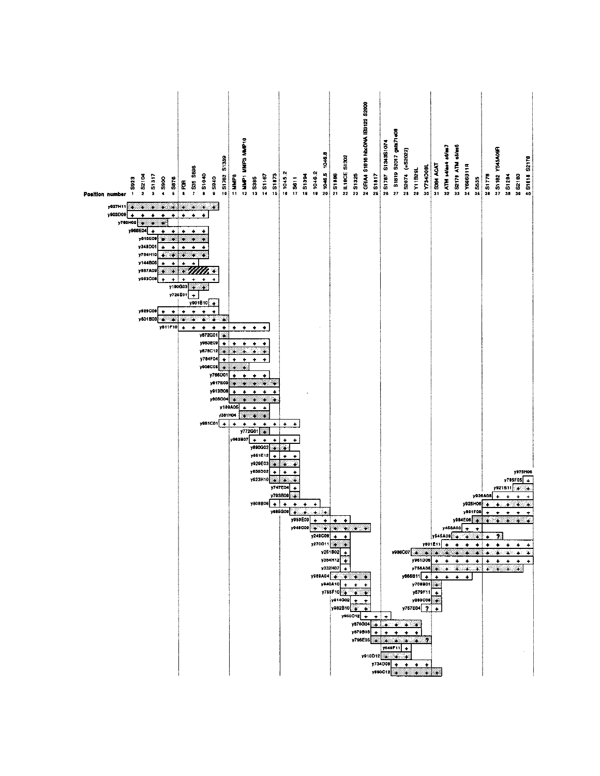| <b>6 S1762 S1339</b><br>- 535 5898<br>51040<br>52104<br>51317<br><b>.</b> 5940<br>5923<br>$-5900$<br>5876<br>e<br>P<br>$\bullet$<br><b>Position number</b>                                                                                                                                                                                                                                                           | DERWN SAMN LAMN 2<br>$\frac{1}{2}$ S1873<br>SHINH =<br>2.31167<br>$\frac{1}{2}$ 5385                                     | 2 GRIA4 S1816 hbcDNA IB3122 S2000<br>21046.5 1046.8<br><b>NUMBE S1302</b><br>$\frac{1}{2}$ 1045.2<br>$\frac{1}{6}$ 1046.2<br>$\frac{10}{1}$ S1886<br><b>NS1325</b><br>$\frac{2}{5}$ S1394<br>$\frac{1}{4}$ 5611                         | 2 S1819 S2D17 gala71e08<br><b>N S1787 S1343S1074</b><br>N 52074 (=S2022)<br><b>SALAMOOR</b><br>2 Y11829L<br>$\frac{M}{n}$ S1817                                                                                                                                                                                                                        | ativet.<br>SATM s4/as4 s6/as7<br>S1182 YS45A09R<br>5 S1818 S2178<br><b>WIN 62128 S</b><br>2 S384 ACAT<br>* Y666B11R<br>$\frac{10}{20}$ S1778<br><b>8 S2180</b><br>281284<br><b>#S535</b>                                                                                                                                                                                                                                                                                                                                                                                                                                                                                                                                       |
|----------------------------------------------------------------------------------------------------------------------------------------------------------------------------------------------------------------------------------------------------------------------------------------------------------------------------------------------------------------------------------------------------------------------|--------------------------------------------------------------------------------------------------------------------------|-----------------------------------------------------------------------------------------------------------------------------------------------------------------------------------------------------------------------------------------|--------------------------------------------------------------------------------------------------------------------------------------------------------------------------------------------------------------------------------------------------------------------------------------------------------------------------------------------------------|--------------------------------------------------------------------------------------------------------------------------------------------------------------------------------------------------------------------------------------------------------------------------------------------------------------------------------------------------------------------------------------------------------------------------------------------------------------------------------------------------------------------------------------------------------------------------------------------------------------------------------------------------------------------------------------------------------------------------------|
| y927H11<br>X,<br>y903009<br>$\ddot{\phantom{1}}$<br>$\ddot{\phantom{1}}$<br>٠<br>$\ddot{}$<br>٠<br>y783H02<br>×<br>ă<br>y966E04<br>y813E09<br>y348D01<br>٠<br>y704H10<br>¥<br>y144B05<br>y887A09<br>۸<br>×<br>ж<br>y983C08<br>$\ddot{\phantom{1}}$<br>۰<br>y190003<br>۷<br>y726E01<br>$\ddot{}$<br>y901B10<br>y929C09<br>٠<br>۰<br>٠<br>y801B03<br>à.<br>۰<br>¥<br>٠<br>Ŵ.<br>Ś.<br>y811F10<br>٠<br>٠<br>٠<br>٠<br>٠ | ٠<br>$\bullet$<br>٠<br>٠                                                                                                 |                                                                                                                                                                                                                                         |                                                                                                                                                                                                                                                                                                                                                        |                                                                                                                                                                                                                                                                                                                                                                                                                                                                                                                                                                                                                                                                                                                                |
| y872G01<br>y953E09<br>٠<br>y878C12<br>y754F04<br>٠<br>y906C05<br>9<br>y766D0<br>y817E03<br>y913B08<br>y805C04<br>y189A06<br>/3811104<br>$y081CO1$ +                                                                                                                                                                                                                                                                  | $\bullet$<br>$\bullet$<br>$\ddot{\phantom{0}}$<br>٠<br>٠<br>y772G01<br>s<br>y963B07<br>٠<br>٠<br>٠<br>y890Q02<br>y981E12 | ٠<br>٠                                                                                                                                                                                                                                  |                                                                                                                                                                                                                                                                                                                                                        |                                                                                                                                                                                                                                                                                                                                                                                                                                                                                                                                                                                                                                                                                                                                |
|                                                                                                                                                                                                                                                                                                                                                                                                                      | y929E03<br>y856D02<br>y923H10<br>ä,<br>$y808B06$ +                                                                       | y747E04<br>٠<br>y793B09<br>ä<br>٠<br>٠<br>٠<br>y885Q09<br>ä<br>÷<br>y969E03<br>٠<br>٠<br>٠<br>۰<br>$\sqrt{249C09}$ + +<br>$y270C11$ $+$ $+$<br>y251B02<br>y354H12<br>y332H07<br>$\bullet$<br>y989A04<br>y940A10 +<br>$\rightarrow$<br>۰ | y961D06<br>y708B01                                                                                                                                                                                                                                                                                                                                     | y975H06<br>y795F05<br>$\ddot{\bullet}$<br>y921B11<br>y926A08<br>۰<br>y925H06<br>y891F09<br>y984E06<br>×<br>¥<br>د ب<br>÷.<br>×.<br>$\rightarrow$<br>$y645A09 + + + +$<br>$y801E11$ +<br>$+ + + +$<br>$+$<br>$\ddot{\phantom{1}}$<br>$\ddot{\phantom{1}}$<br>$\ddot{\bullet}$<br>$y986007$ $\frac{1}{2}$ $\frac{1}{2}$ $\frac{1}{2}$ $\frac{1}{2}$ $\frac{1}{2}$ $\frac{1}{2}$ $\frac{1}{2}$ $\frac{1}{2}$ $\frac{1}{2}$ $\frac{1}{2}$ $\frac{1}{2}$ $\frac{1}{2}$ $\frac{1}{2}$ $\frac{1}{2}$ $\frac{1}{2}$ $\frac{1}{2}$ $\frac{1}{2}$ $\frac{1}{2}$ $\frac{1}{2}$ $\frac{1}{2}$ $\frac{1}{2}$<br>$+ + + + + + + + +$<br>$\sim$<br>$\rightarrow$<br>$\bullet$<br>$y756A06$ $+$ $+$ $+$ $+$ $+$ $+$ $+$<br>$y666B11 + + + + +$ |
|                                                                                                                                                                                                                                                                                                                                                                                                                      |                                                                                                                          | $Y755F10$ $\longrightarrow$<br>y814G02 +<br>$\rightarrow$<br>y982B10 +<br>$y950012 +$<br>y870B06                                                                                                                                        | y579F11<br>y283C06<br>y757E04 ?<br>$\ddot{}$<br>$\ddot{\phantom{1}}$<br>$y876004$ $+ 7$ $+ 7$<br>$\ddot{\bullet}$<br>$\ddot{\phantom{1}}$<br>$\bullet$<br>$\bullet$<br>$\bullet$<br>$y796EOS$ + + + + + 7<br>y649F11 +<br>$y910012$ $\rightarrow$ $\rightarrow$<br>$y734008 + + +$<br>$y890C12$ $\uparrow$ $\uparrow$ $\uparrow$ $\uparrow$ $\uparrow$ | $\bullet$<br>$\bullet$                                                                                                                                                                                                                                                                                                                                                                                                                                                                                                                                                                                                                                                                                                         |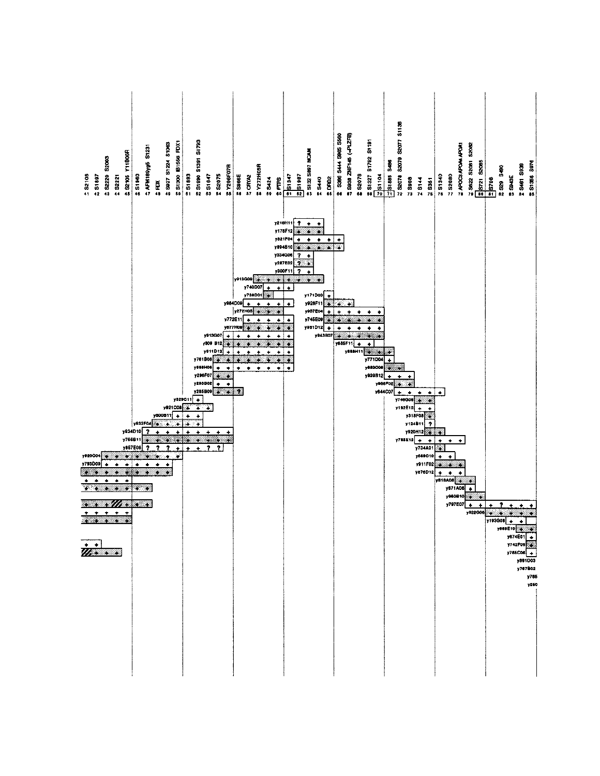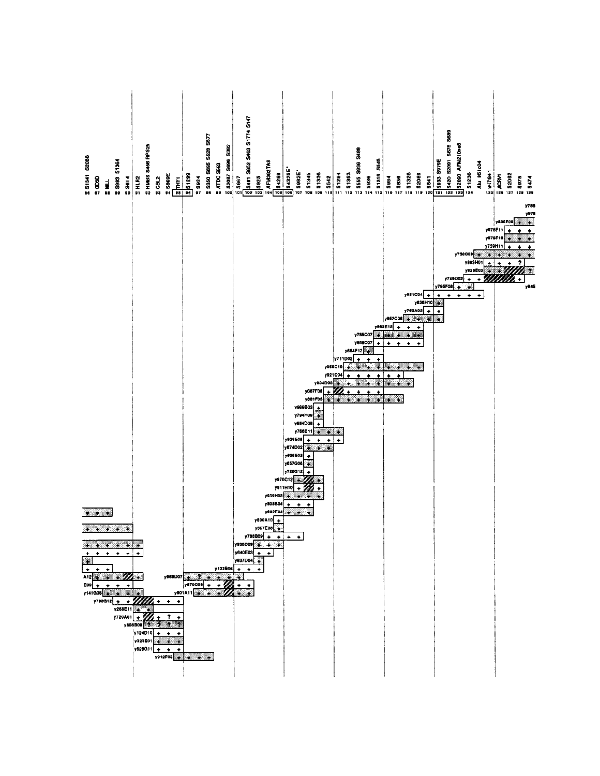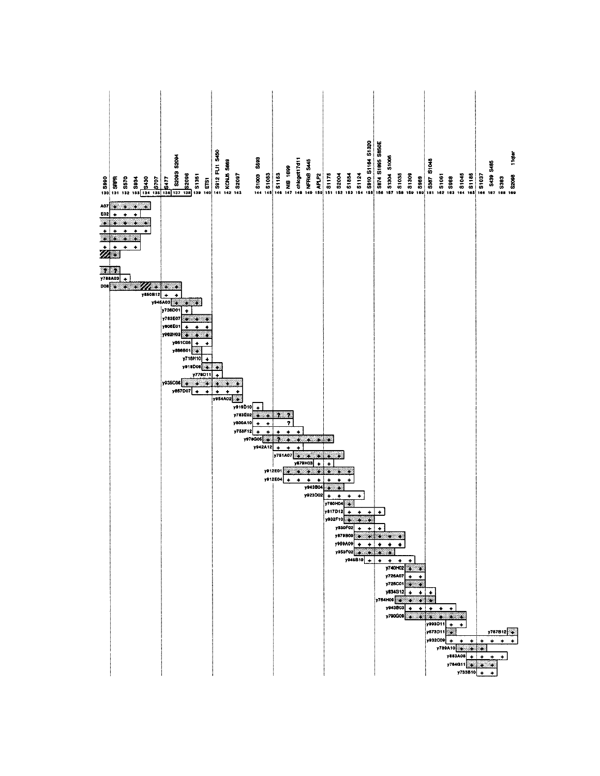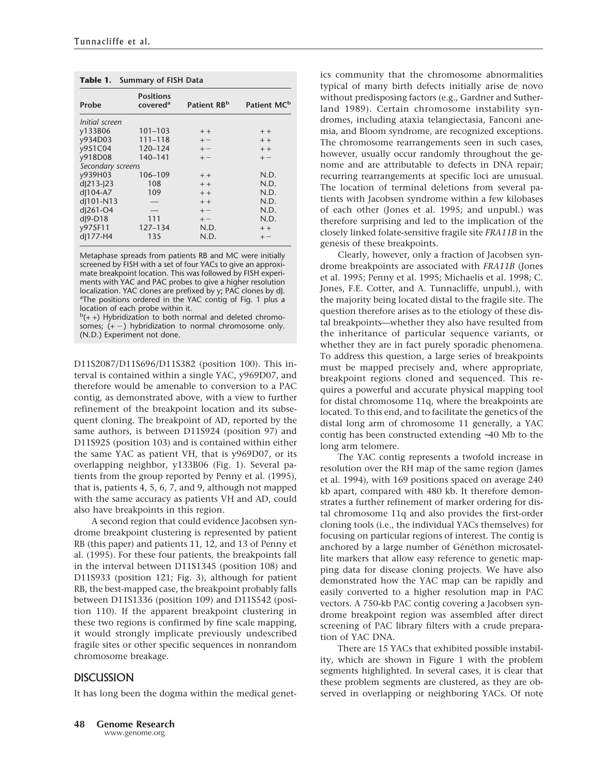| Table 1. Summary of FISH Data |                                          |                         |                         |  |  |
|-------------------------------|------------------------------------------|-------------------------|-------------------------|--|--|
| Probe                         | <b>Positions</b><br>covered <sup>a</sup> | Patient RB <sup>b</sup> | Patient MC <sup>b</sup> |  |  |
| Initial screen                |                                          |                         |                         |  |  |
| y133B06                       | $101 - 103$                              | $+ +$                   | $+ +$                   |  |  |
| y934D03                       | $111 - 118$                              | $+-$                    | $+ +$                   |  |  |
| y951C04                       | 120-124                                  | $+ -$                   | $+ +$                   |  |  |
| y918D08                       | 140-141                                  | $+ -$                   | $+-$                    |  |  |
| Secondary screens             |                                          |                         |                         |  |  |
| y939H03                       | 106-109                                  | $+ +$                   | N.D.                    |  |  |
| d 213- 23                     | 108                                      | $+ +$                   | N.D.                    |  |  |
| d 104-A7                      | 109                                      | $+ +$                   | N.D.                    |  |  |
| d 101-N13                     |                                          | $+ +$                   | N.D.                    |  |  |
| d 261-O4                      |                                          | $+ -$                   | N.D.                    |  |  |
| d 9-D18                       | 111                                      | $+ -$                   | N.D.                    |  |  |
| y975F11                       | $127 - 134$                              | N.D.                    | $+ +$                   |  |  |
| d 177-H4                      | 135                                      | N.D.                    | $+-$                    |  |  |

Metaphase spreads from patients RB and MC were initially screened by FISH with a set of four YACs to give an approximate breakpoint location. This was followed by FISH experiments with YAC and PAC probes to give a higher resolution localization. YAC clones are prefixed by y; PAC clones by dJ. <sup>a</sup>The positions ordered in the YAC contig of Fig. 1 plus a location of each probe within it.

 $b$ (++) Hybridization to both normal and deleted chromosomes;  $(+-)$  hybridization to normal chromosome only. (N.D.) Experiment not done.

D11S2087/D11S696/D11S382 (position 100). This interval is contained within a single YAC, y969D07, and therefore would be amenable to conversion to a PAC contig, as demonstrated above, with a view to further refinement of the breakpoint location and its subsequent cloning. The breakpoint of AD, reported by the same authors, is between D11S924 (position 97) and D11S925 (position 103) and is contained within either the same YAC as patient VH, that is y969D07, or its overlapping neighbor, y133B06 (Fig. 1). Several patients from the group reported by Penny et al. (1995), that is, patients 4, 5, 6, 7, and 9, although not mapped with the same accuracy as patients VH and AD, could also have breakpoints in this region.

A second region that could evidence Jacobsen syndrome breakpoint clustering is represented by patient RB (this paper) and patients 11, 12, and 13 of Penny et al. (1995). For these four patients, the breakpoints fall in the interval between D11S1345 (position 108) and D11S933 (position 121; Fig. 3), although for patient RB, the best-mapped case, the breakpoint probably falls between D11S1336 (position 109) and D11S542 (position 110). If the apparent breakpoint clustering in these two regions is confirmed by fine scale mapping, it would strongly implicate previously undescribed fragile sites or other specific sequences in nonrandom chromosome breakage.

#### **DISCUSSION**

It has long been the dogma within the medical genet-

ics community that the chromosome abnormalities typical of many birth defects initially arise de novo without predisposing factors (e.g., Gardner and Sutherland 1989). Certain chromosome instability syndromes, including ataxia telangiectasia, Fanconi anemia, and Bloom syndrome, are recognized exceptions. The chromosome rearrangements seen in such cases, however, usually occur randomly throughout the genome and are attributable to defects in DNA repair; recurring rearrangements at specific loci are unusual. The location of terminal deletions from several patients with Jacobsen syndrome within a few kilobases of each other (Jones et al. 1995; and unpubl.) was therefore surprising and led to the implication of the closely linked folate-sensitive fragile site *FRA11B* in the genesis of these breakpoints.

Clearly, however, only a fraction of Jacobsen syndrome breakpoints are associated with *FRA11B* (Jones et al. 1995; Penny et al. 1995; Michaelis et al. 1998; C. Jones, F.E. Cotter, and A. Tunnacliffe, unpubl.), with the majority being located distal to the fragile site. The question therefore arises as to the etiology of these distal breakpoints—whether they also have resulted from the inheritance of particular sequence variants, or whether they are in fact purely sporadic phenomena. To address this question, a large series of breakpoints must be mapped precisely and, where appropriate, breakpoint regions cloned and sequenced. This requires a powerful and accurate physical mapping tool for distal chromosome 11q, where the breakpoints are located. To this end, and to facilitate the genetics of the distal long arm of chromosome 11 generally, a YAC contig has been constructed extending ∼40 Mb to the long arm telomere.

The YAC contig represents a twofold increase in resolution over the RH map of the same region (James et al. 1994), with 169 positions spaced on average 240 kb apart, compared with 480 kb. It therefore demonstrates a further refinement of marker ordering for distal chromosome 11q and also provides the first-order cloning tools (i.e., the individual YACs themselves) for focusing on particular regions of interest. The contig is anchored by a large number of Généthon microsatellite markers that allow easy reference to genetic mapping data for disease cloning projects. We have also demonstrated how the YAC map can be rapidly and easily converted to a higher resolution map in PAC vectors. A 750-kb PAC contig covering a Jacobsen syndrome breakpoint region was assembled after direct screening of PAC library filters with a crude preparation of YAC DNA.

There are 15 YACs that exhibited possible instability, which are shown in Figure 1 with the problem segments highlighted. In several cases, it is clear that these problem segments are clustered, as they are observed in overlapping or neighboring YACs. Of note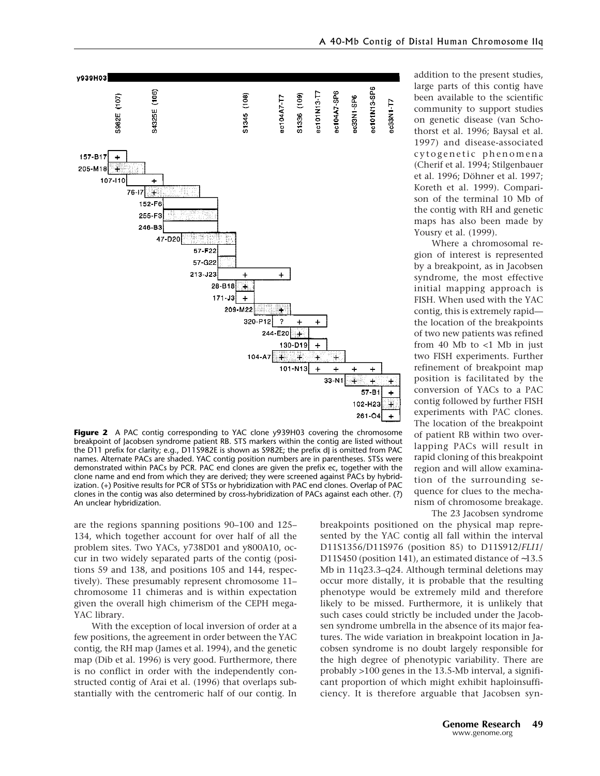

**Figure 2** A PAC contig corresponding to YAC clone y939H03 covering the chromosome breakpoint of Jacobsen syndrome patient RB. STS markers within the contig are listed without the D11 prefix for clarity; e.g., D11S982E is shown as S982E; the prefix dJ is omitted from PAC names. Alternate PACs are shaded. YAC contig position numbers are in parentheses. STSs were demonstrated within PACs by PCR. PAC end clones are given the prefix ec, together with the clone name and end from which they are derived; they were screened against PACs by hybridization. (+) Positive results for PCR of STSs or hybridization with PAC end clones. Overlap of PAC clones in the contig was also determined by cross-hybridization of PACs against each other. (?) An unclear hybridization.

are the regions spanning positions 90–100 and 125– 134, which together account for over half of all the problem sites. Two YACs, y738D01 and y800A10, occur in two widely separated parts of the contig (positions 59 and 138, and positions 105 and 144, respectively). These presumably represent chromosome 11– chromosome 11 chimeras and is within expectation given the overall high chimerism of the CEPH mega-YAC library.

With the exception of local inversion of order at a few positions, the agreement in order between the YAC contig, the RH map (James et al. 1994), and the genetic map (Dib et al. 1996) is very good. Furthermore, there is no conflict in order with the independently constructed contig of Arai et al. (1996) that overlaps substantially with the centromeric half of our contig. In addition to the present studies, large parts of this contig have been available to the scientific community to support studies on genetic disease (van Schothorst et al. 1996; Baysal et al. 1997) and disease-associated cytogenetic phenomena (Cherif et al. 1994; Stilgenbauer et al. 1996; Döhner et al. 1997; Koreth et al. 1999). Comparison of the terminal 10 Mb of the contig with RH and genetic maps has also been made by Yousry et al. (1999).

Where a chromosomal region of interest is represented by a breakpoint, as in Jacobsen syndrome, the most effective initial mapping approach is FISH. When used with the YAC contig, this is extremely rapid the location of the breakpoints of two new patients was refined from 40 Mb to <1 Mb in just two FISH experiments. Further refinement of breakpoint map position is facilitated by the conversion of YACs to a PAC contig followed by further FISH experiments with PAC clones. The location of the breakpoint of patient RB within two overlapping PACs will result in rapid cloning of this breakpoint region and will allow examination of the surrounding sequence for clues to the mechanism of chromosome breakage.

The 23 Jacobsen syndrome

breakpoints positioned on the physical map represented by the YAC contig all fall within the interval D11S1356/D11S976 (position 85) to D11S912/*FLI1*/ D11S450 (position 141), an estimated distance of ∼13.5 Mb in 11q23.3–q24. Although terminal deletions may occur more distally, it is probable that the resulting phenotype would be extremely mild and therefore likely to be missed. Furthermore, it is unlikely that such cases could strictly be included under the Jacobsen syndrome umbrella in the absence of its major features. The wide variation in breakpoint location in Jacobsen syndrome is no doubt largely responsible for the high degree of phenotypic variability. There are probably >100 genes in the 13.5-Mb interval, a significant proportion of which might exhibit haploinsufficiency. It is therefore arguable that Jacobsen syn-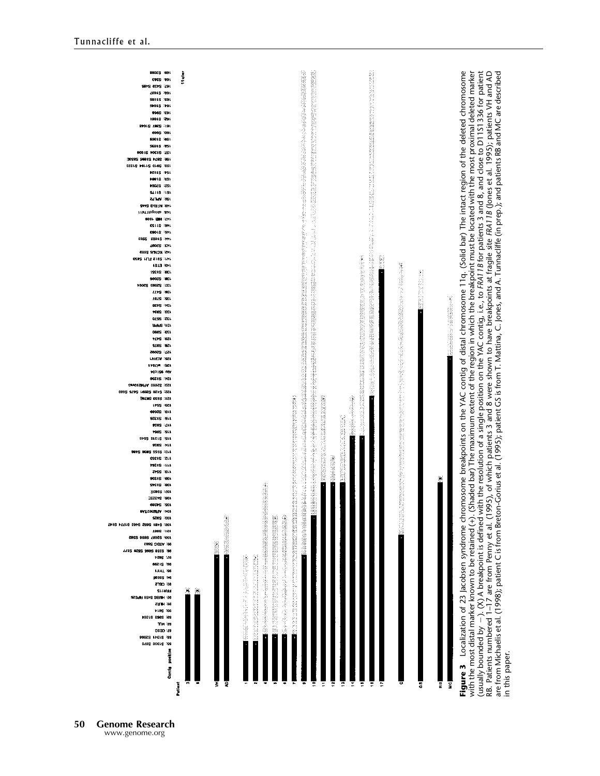

**50 Genome Research** www.genome.org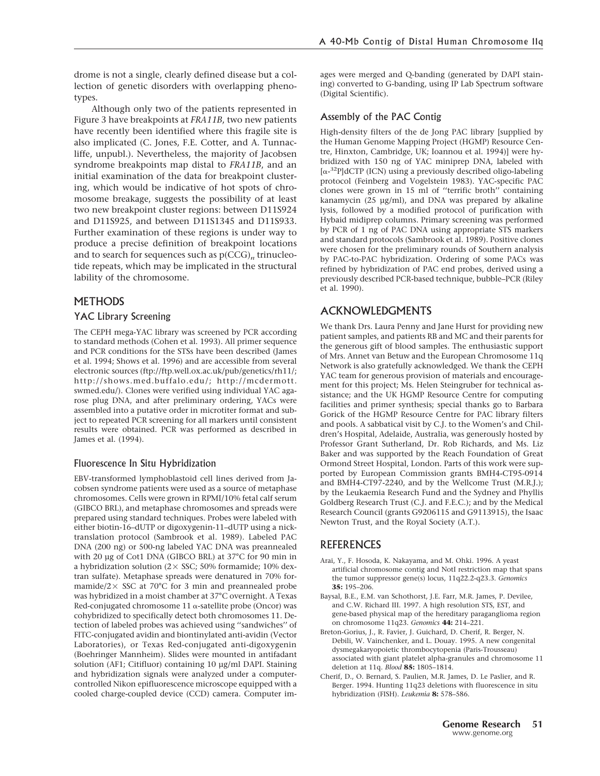drome is not a single, clearly defined disease but a collection of genetic disorders with overlapping phenotypes.

Although only two of the patients represented in Figure 3 have breakpoints at *FRA11B*, two new patients have recently been identified where this fragile site is also implicated (C. Jones, F.E. Cotter, and A. Tunnacliffe, unpubl.). Nevertheless, the majority of Jacobsen syndrome breakpoints map distal to *FRA11B*, and an initial examination of the data for breakpoint clustering, which would be indicative of hot spots of chromosome breakage, suggests the possibility of at least two new breakpoint cluster regions: between D11S924 and D11S925, and between D11S1345 and D11S933. Further examination of these regions is under way to produce a precise definition of breakpoint locations and to search for sequences such as  $p(CCG)<sub>n</sub>$  trinucleotide repeats, which may be implicated in the structural lability of the chromosome.

# **METHODS**

#### YAC Library Screening

The CEPH mega-YAC library was screened by PCR according to standard methods (Cohen et al. 1993). All primer sequence and PCR conditions for the STSs have been described (James et al. 1994; Shows et al. 1996) and are accessible from several electronic sources (ftp://ftp.well.ox.ac.uk/pub/genetics/rh11/; http://shows.med.buffalo.edu/; http://mcdermott. swmed.edu/). Clones were verified using individual YAC agarose plug DNA, and after preliminary ordering, YACs were assembled into a putative order in microtiter format and subject to repeated PCR screening for all markers until consistent results were obtained. PCR was performed as described in James et al. (1994).

#### Fluorescence In Situ Hybridization

EBV-transformed lymphoblastoid cell lines derived from Jacobsen syndrome patients were used as a source of metaphase chromosomes. Cells were grown in RPMI/10% fetal calf serum (GIBCO BRL), and metaphase chromosomes and spreads were prepared using standard techniques. Probes were labeled with either biotin-16–dUTP or digoxygenin-11–dUTP using a nicktranslation protocol (Sambrook et al. 1989). Labeled PAC DNA (200 ng) or 500-ng labeled YAC DNA was preannealed with 20 µg of Cot1 DNA (GIBCO BRL) at 37°C for 90 min in a hybridization solution ( $2 \times$  SSC; 50% formamide; 10% dextran sulfate). Metaphase spreads were denatured in 70% formamide/ $2 \times$  SSC at 70°C for 3 min and preannealed probe was hybridized in a moist chamber at 37°C overnight. A Texas Red-conjugated chromosome 11  $\alpha$ -satellite probe (Oncor) was cohybridized to specifically detect both chromosomes 11. Detection of labeled probes was achieved using ''sandwiches'' of FITC-conjugated avidin and biontinylated anti-avidin (Vector Laboratories), or Texas Red-conjugated anti-digoxygenin (Boehringer Mannheim). Slides were mounted in antifadant solution (AF1; Citifluor) containing 10 µg/ml DAPI. Staining and hybridization signals were analyzed under a computercontrolled Nikon epifluorescence microscope equipped with a cooled charge-coupled device (CCD) camera. Computer images were merged and Q-banding (generated by DAPI staining) converted to G-banding, using IP Lab Spectrum software (Digital Scientific).

## Assembly of the PAC Contig

High-density filters of the de Jong PAC library [supplied by the Human Genome Mapping Project (HGMP) Resource Centre, Hinxton, Cambridge, UK; Ioannou et al. 1994)] were hybridized with 150 ng of YAC miniprep DNA, labeled with [a-32P]dCTP (ICN) using a previously described oligo-labeling protocol (Feinberg and Vogelstein 1983). YAC-specific PAC clones were grown in 15 ml of ''terrific broth'' containing kanamycin (25 µg/ml), and DNA was prepared by alkaline lysis, followed by a modified protocol of purification with Hybaid midiprep columns. Primary screening was performed by PCR of 1 ng of PAC DNA using appropriate STS markers and standard protocols (Sambrook et al. 1989). Positive clones were chosen for the preliminary rounds of Southern analysis by PAC-to-PAC hybridization. Ordering of some PACs was refined by hybridization of PAC end probes, derived using a previously described PCR-based technique, bubble–PCR (Riley et al. 1990).

# ACKNOWLEDGMENTS

We thank Drs. Laura Penny and Jane Hurst for providing new patient samples, and patients RB and MC and their parents for the generous gift of blood samples. The enthusiastic support of Mrs. Annet van Betuw and the European Chromosome 11q Network is also gratefully acknowledged. We thank the CEPH YAC team for generous provision of materials and encouragement for this project; Ms. Helen Steingruber for technical assistance; and the UK HGMP Resource Centre for computing facilities and primer synthesis; special thanks go to Barbara Gorick of the HGMP Resource Centre for PAC library filters and pools. A sabbatical visit by C.J. to the Women's and Children's Hospital, Adelaide, Australia, was generously hosted by Professor Grant Sutherland, Dr. Rob Richards, and Ms. Liz Baker and was supported by the Reach Foundation of Great Ormond Street Hospital, London. Parts of this work were supported by European Commission grants BMH4-CT95-0914 and BMH4-CT97-2240, and by the Wellcome Trust (M.R.J.); by the Leukaemia Research Fund and the Sydney and Phyllis Goldberg Research Trust (C.J. and F.E.C.); and by the Medical Research Council (grants G9206115 and G9113915), the Isaac Newton Trust, and the Royal Society (A.T.).

# REFERENCES

- Arai, Y., F. Hosoda, K. Nakayama, and M. Ohki. 1996. A yeast artificial chromosome contig and NotI restriction map that spans the tumor suppressor gene(s) locus, 11q22.2-q23.3. *Genomics* **35:** 195–206.
- Baysal, B.E., E.M. van Schothorst, J.E. Farr, M.R. James, P. Devilee, and C.W. Richard III. 1997. A high resolution STS, EST, and gene-based physical map of the hereditary paraganglioma region on chromosome 11q23. *Genomics* **44:** 214–221.
- Breton-Gorius, J., R. Favier, J. Guichard, D. Cherif, R. Berger, N. Debili, W. Vainchenker, and L. Douay. 1995. A new congenital dysmegakaryopoietic thrombocytopenia (Paris-Trousseau) associated with giant platelet alpha-granules and chromosome 11 deletion at 11q. *Blood* **85:** 1805–1814.
- Cherif, D., O. Bernard, S. Paulien, M.R. James, D. Le Paslier, and R. Berger. 1994. Hunting 11q23 deletions with fluorescence in situ hybridization (FISH). *Leukemia* **8:** 578–586.